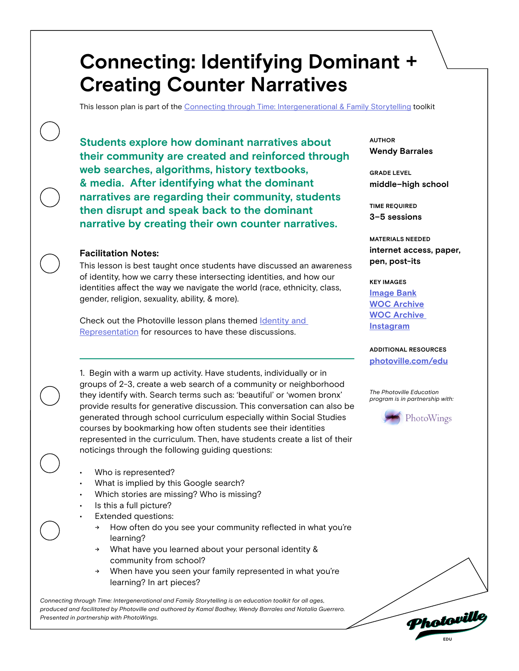This lesson plan is part of the [Connecting through Time: Intergenerational & Family Storytelling](https://photoville.com/projects/connecting-through-time) toolkit

**Students explore how dominant narratives about their community are created and reinforced through web searches, algorithms, history textbooks, & media. After identifying what the dominant narratives are regarding their community, students then disrupt and speak back to the dominant narrative by creating their own counter narratives.** 

### **Facilitation Notes:**

**pen, post-its** This lesson is best taught once students have discussed an awareness of identity, how we carry these intersecting identities, and how our identities affect the way we navigate the world (race, ethnicity, class, gender, religion, sexuality, ability, & more).

Check out the Photoville lesson plans themed **Identity** and [Representation](https://photoville.com/edu/education-resources/#lessons) for resources to have these discussions.

1. Begin with a warm up activity. Have students, individually or in groups of 2-3, create a web search of a community or neighborhood they identify with. Search terms such as: 'beautiful' or 'women bronx' provide results for generative discussion. This conversation can also be generated through school curriculum especially within Social Studies courses by bookmarking how often students see their identities represented in the curriculum. Then, have students create a list of their noticings through the following guiding questions:

- Who is represented?
- What is implied by this Google search?
- Which stories are missing? Who is missing?
- Is this a full picture?
- **Extended questions:** 
	- How often do you see your community reflected in what you're learning?
	- What have you learned about your personal identity & community from school?
	- When have you seen your family represented in what you're learning? In art pieces?

*Connecting through Time: Intergenerational and Family Storytelling is an education toolkit for all ages, produced and facilitated by Photoville and authored by Kamal Badhey, Wendy Barrales and Natalia Guerrero. Presented in partnership with PhotoWings.* 

**Wendy Barrales AUTHOR**

**middle–high school GRADE LEVEL**

**3–5 sessions TIME REQUIRED**

**internet access, paper, MATERIALS NEEDED**

#### **KEY IMAGES**

**[Image Bank](https://docs.google.com/presentation/d/1Nl30e4VsleGjLaHcY01EsLKz7oKDycHUCopn2K7fN4E/edit?usp=sharing) [WOC Archive](http://www.wocarchive.com) [WOC Archive](http://instagram.com/wocarchive)  [Instagram](http://instagram.com/wocarchive)**

**[photoville.com/edu](http://photoville.com/edu) ADDITIONAL RESOURCES**

*The Photoville Education program is in partnership with:*



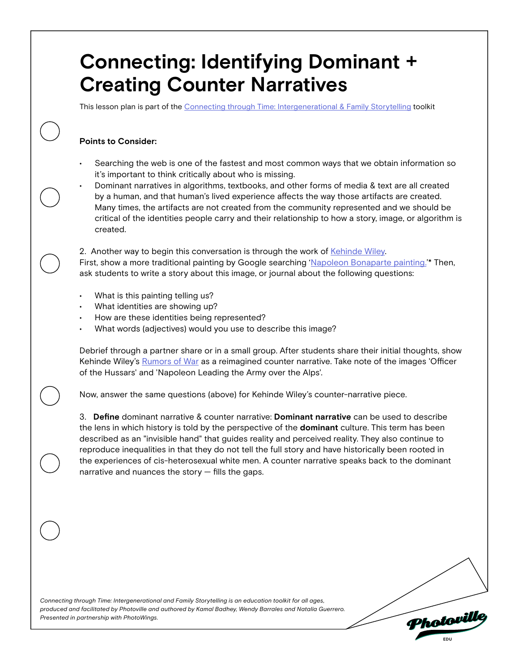This lesson plan is part of the [Connecting through Time: Intergenerational & Family Storytelling](https://photoville.com/projects/connecting-through-time) toolkit

## **Points to Consider:**

• Searching the web is one of the fastest and most common ways that we obtain information so it's important to think critically about who is missing.

• Dominant narratives in algorithms, textbooks, and other forms of media & text are all created by a human, and that human's lived experience affects the way those artifacts are created. Many times, the artifacts are not created from the community represented and we should be critical of the identities people carry and their relationship to how a story, image, or algorithm is created.

2. Another way to begin this conversation is through the work of [Kehinde Wiley](https://www.instagram.com/p/CBdfsQ9B1gD/). First, show a more traditional painting by Google searching '[Napoleon Bonaparte painting.](https://www.google.com/search?q=napoleon+bonaparte+painting&tbm=isch&ved=2ahUKEwjgwb7tjPXqAhVdwCkDHT2RBc8Q2-cCegQIABAA&oq=napoleon+bonaparte+painting&gs_lcp=CgNpbWcQAzICCAAyAggAMgIIADIGCAAQBxAeMgYIABAHEB4yBggAEAcQHjIGCAAQBxAeMgYIABAHEB4yBAgAEB4yBggAEAUQHjoICAAQBxAFEB5Q68EDWKbMA2CnzgNoAXAAeACAAWuIAfAFkgEEMTAuMZgBAKABAaoBC2d3cy13aXotaW1nwAEB&sclient=img&ei=mc0iX6CRD92Ap8kPvaKW-Aw&bih=679&biw=1095)'\* Then, ask students to write a story about this image, or journal about the following questions:

- What is this painting telling us?
- What identities are showing up?
- How are these identities being represented?
- What words (adjectives) would you use to describe this image?

Debrief through a partner share or in a small group. After students share their initial thoughts, show Kehinde Wiley's [Rumors of War](https://kehindewiley.com/works/rumors-of-war/) as a reimagined counter narrative. Take note of the images 'Officer of the Hussars' and 'Napoleon Leading the Army over the Alps'.

Now, answer the same questions (above) for Kehinde Wiley's counter-narrative piece.

3. **Define** dominant narrative & counter narrative: **Dominant narrative** can be used to describe the lens in which history is told by the perspective of the **dominant** culture. This term has been described as an "invisible hand" that guides reality and perceived reality. They also continue to reproduce inequalities in that they do not tell the full story and have historically been rooted in the experiences of cis-heterosexual white men. A counter narrative speaks back to the dominant narrative and nuances the story  $-$  fills the gaps.

*Connecting through Time: Intergenerational and Family Storytelling is an education toolkit for all ages, produced and facilitated by Photoville and authored by Kamal Badhey, Wendy Barrales and Natalia Guerrero. Presented in partnership with PhotoWings.* 

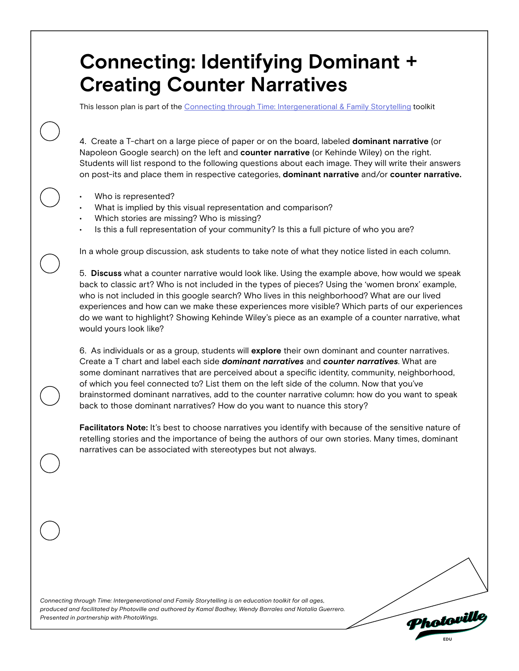This lesson plan is part of the [Connecting through Time: Intergenerational & Family Storytelling](https://photoville.com/projects/connecting-through-time) toolkit

4. Create a T-chart on a large piece of paper or on the board, labeled **dominant narrative** (or Napoleon Google search) on the left and **counter narrative** (or Kehinde Wiley) on the right. Students will list respond to the following questions about each image. They will write their answers on post-its and place them in respective categories, **dominant narrative** and/or **counter narrative.**

- Who is represented?
- What is implied by this visual representation and comparison?
- Which stories are missing? Who is missing?
- Is this a full representation of your community? Is this a full picture of who you are?

In a whole group discussion, ask students to take note of what they notice listed in each column.

5. **Discuss** what a counter narrative would look like. Using the example above, how would we speak back to classic art? Who is not included in the types of pieces? Using the 'women bronx' example, who is not included in this google search? Who lives in this neighborhood? What are our lived experiences and how can we make these experiences more visible? Which parts of our experiences do we want to highlight? Showing Kehinde Wiley's piece as an example of a counter narrative, what would yours look like?

6. As individuals or as a group, students will **explore** their own dominant and counter narratives. Create a T chart and label each side *dominant narratives* and *counter narratives*. What are some dominant narratives that are perceived about a specific identity, community, neighborhood, of which you feel connected to? List them on the left side of the column. Now that you've brainstormed dominant narratives, add to the counter narrative column: how do you want to speak back to those dominant narratives? How do you want to nuance this story?

**Facilitators Note:** It's best to choose narratives you identify with because of the sensitive nature of retelling stories and the importance of being the authors of our own stories. Many times, dominant narratives can be associated with stereotypes but not always.

*Connecting through Time: Intergenerational and Family Storytelling is an education toolkit for all ages, produced and facilitated by Photoville and authored by Kamal Badhey, Wendy Barrales and Natalia Guerrero. Presented in partnership with PhotoWings.*